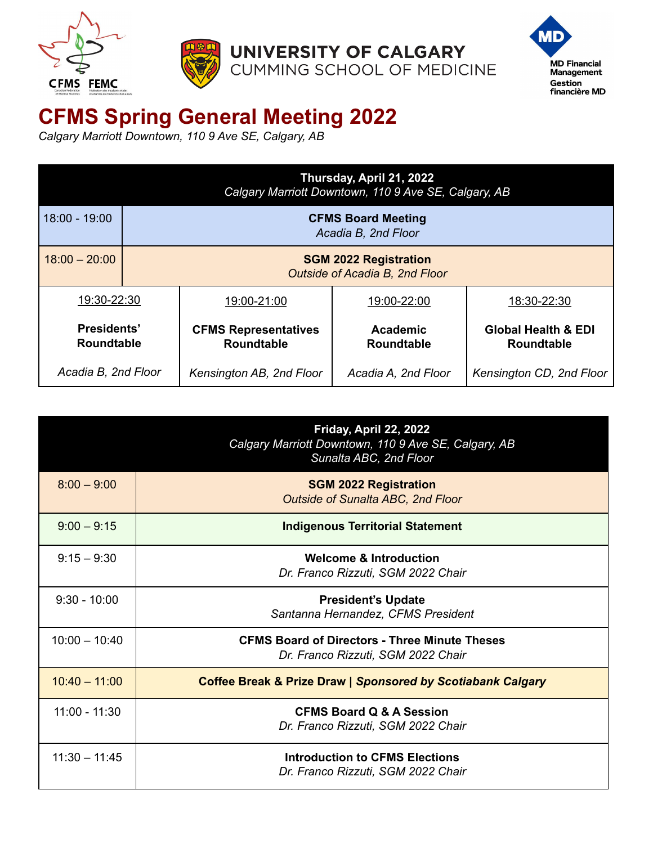



UNIVERSITY OF CALGARY CUMMING SCHOOL OF MEDICINE



## **CFMS Spring General Meeting 2022**

*Calgary Marriott Downtown, 110 9 Ave SE, Calgary, AB*

|                                  | Thursday, April 21, 2022<br>Calgary Marriott Downtown, 110 9 Ave SE, Calgary, AB |                                                  |                                      |                                                     |
|----------------------------------|----------------------------------------------------------------------------------|--------------------------------------------------|--------------------------------------|-----------------------------------------------------|
| 18:00 - 19:00                    | <b>CFMS Board Meeting</b><br>Acadia B, 2nd Floor                                 |                                                  |                                      |                                                     |
| $18:00 - 20:00$                  | <b>SGM 2022 Registration</b><br>Outside of Acadia B, 2nd Floor                   |                                                  |                                      |                                                     |
| 19:30-22:30                      |                                                                                  | 19:00-21:00                                      | 19:00-22:00                          | 18:30-22:30                                         |
| Presidents'<br><b>Roundtable</b> |                                                                                  | <b>CFMS Representatives</b><br><b>Roundtable</b> | <b>Academic</b><br><b>Roundtable</b> | <b>Global Health &amp; EDI</b><br><b>Roundtable</b> |
| Acadia B, 2nd Floor              |                                                                                  | Kensington AB, 2nd Floor                         | Acadia A, 2nd Floor                  | Kensington CD, 2nd Floor                            |

|                 | Friday, April 22, 2022<br>Calgary Marriott Downtown, 110 9 Ave SE, Calgary, AB<br>Sunalta ABC, 2nd Floor |
|-----------------|----------------------------------------------------------------------------------------------------------|
| $8:00 - 9:00$   | <b>SGM 2022 Registration</b><br><b>Outside of Sunalta ABC, 2nd Floor</b>                                 |
| $9:00 - 9:15$   | <b>Indigenous Territorial Statement</b>                                                                  |
| $9:15 - 9:30$   | <b>Welcome &amp; Introduction</b><br>Dr. Franco Rizzuti, SGM 2022 Chair                                  |
| $9:30 - 10:00$  | <b>President's Update</b><br>Santanna Hernandez, CFMS President                                          |
| $10:00 - 10:40$ | <b>CFMS Board of Directors - Three Minute Theses</b><br>Dr. Franco Rizzuti, SGM 2022 Chair               |
| $10:40 - 11:00$ | <b>Coffee Break &amp; Prize Draw   Sponsored by Scotiabank Calgary</b>                                   |
| $11:00 - 11:30$ | <b>CFMS Board Q &amp; A Session</b><br>Dr. Franco Rizzuti, SGM 2022 Chair                                |
| $11:30 - 11:45$ | <b>Introduction to CFMS Elections</b><br>Dr. Franco Rizzuti, SGM 2022 Chair                              |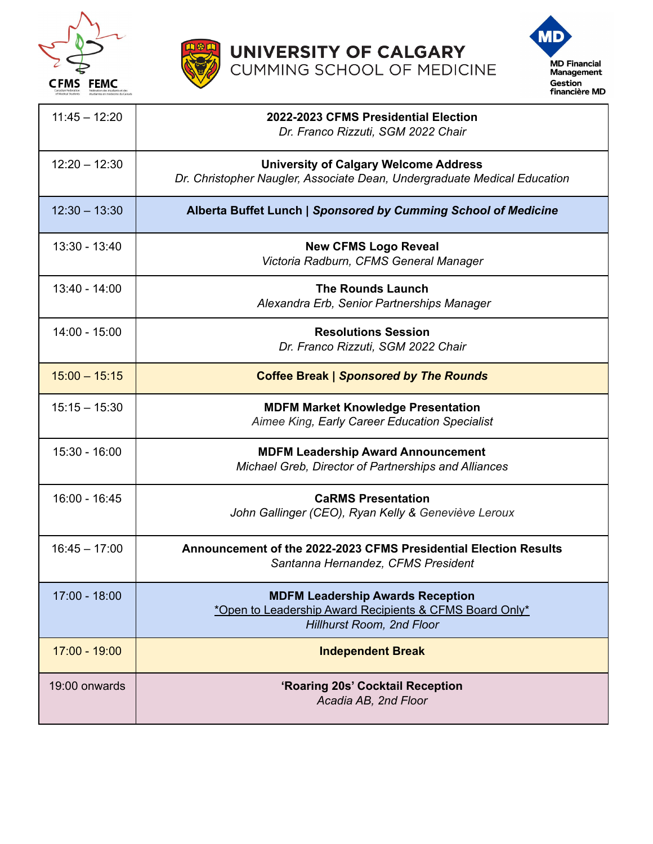





| $11:45 - 12:20$ | 2022-2023 CFMS Presidential Election<br>Dr. Franco Rizzuti, SGM 2022 Chair                                                      |
|-----------------|---------------------------------------------------------------------------------------------------------------------------------|
| $12:20 - 12:30$ | <b>University of Calgary Welcome Address</b><br>Dr. Christopher Naugler, Associate Dean, Undergraduate Medical Education        |
| $12:30 - 13:30$ | Alberta Buffet Lunch   Sponsored by Cumming School of Medicine                                                                  |
| $13:30 - 13:40$ | <b>New CFMS Logo Reveal</b><br>Victoria Radburn, CFMS General Manager                                                           |
| $13:40 - 14:00$ | <b>The Rounds Launch</b><br>Alexandra Erb, Senior Partnerships Manager                                                          |
| $14:00 - 15:00$ | <b>Resolutions Session</b><br>Dr. Franco Rizzuti, SGM 2022 Chair                                                                |
| $15:00 - 15:15$ | <b>Coffee Break   Sponsored by The Rounds</b>                                                                                   |
| $15:15 - 15:30$ | <b>MDFM Market Knowledge Presentation</b><br>Aimee King, Early Career Education Specialist                                      |
| $15:30 - 16:00$ | <b>MDFM Leadership Award Announcement</b><br>Michael Greb, Director of Partnerships and Alliances                               |
| $16:00 - 16:45$ | <b>CaRMS Presentation</b><br>John Gallinger (CEO), Ryan Kelly & Geneviève Leroux                                                |
| $16:45 - 17:00$ | Announcement of the 2022-2023 CFMS Presidential Election Results<br>Santanna Hernandez, CFMS President                          |
| $17:00 - 18:00$ | <b>MDFM Leadership Awards Reception</b><br>*Open to Leadership Award Recipients & CFMS Board Only*<br>Hillhurst Room, 2nd Floor |
| $17:00 - 19:00$ | <b>Independent Break</b>                                                                                                        |
| 19:00 onwards   | 'Roaring 20s' Cocktail Reception<br>Acadia AB, 2nd Floor                                                                        |